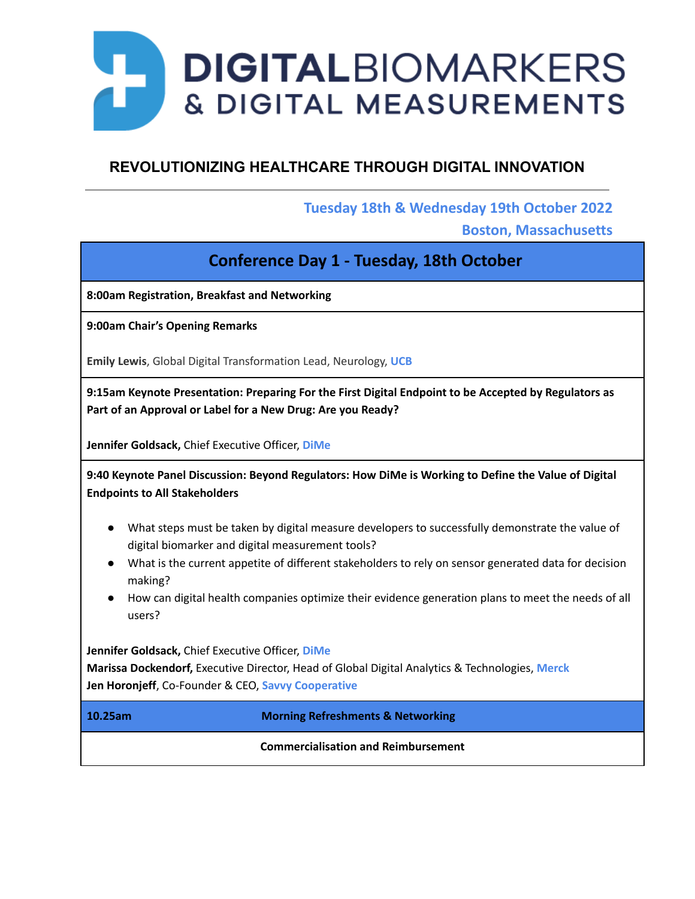# DIGITALBIOMARKERS **& DIGITAL MEASUREMENTS**

# **REVOLUTIONIZING HEALTHCARE THROUGH DIGITAL INNOVATION**

## **Tuesday 18th & Wednesday 19th October 2022**

**Boston, Massachusetts**

# **Conference Day 1 - Tuesday, 18th October**

**8:00am Registration, Breakfast and Networking**

**9:00am Chair's Opening Remarks**

**Emily Lewis**, Global Digital Transformation Lead, Neurology, **UCB**

**9:15am Keynote Presentation: Preparing For the First Digital Endpoint to be Accepted by Regulators as Part of an Approval or Label for a New Drug: Are you Ready?**

**Jennifer Goldsack,** Chief Executive Officer, **DiMe**

**9:40 Keynote Panel Discussion: Beyond Regulators: How DiMe is Working to Define the Value of Digital Endpoints to All Stakeholders**

- What steps must be taken by digital measure developers to successfully demonstrate the value of digital biomarker and digital measurement tools?
- What is the current appetite of different stakeholders to rely on sensor generated data for decision making?
- How can digital health companies optimize their evidence generation plans to meet the needs of all users?

**Jennifer Goldsack,** Chief Executive Officer, **DiMe**

**Marissa Dockendorf,** Executive Director, Head of Global Digital Analytics & Technologies, **Merck Jen Horonjeff**, Co-Founder & CEO, **Savvy Cooperative**

**10.25am Morning Refreshments & Networking**

**Commercialisation and Reimbursement**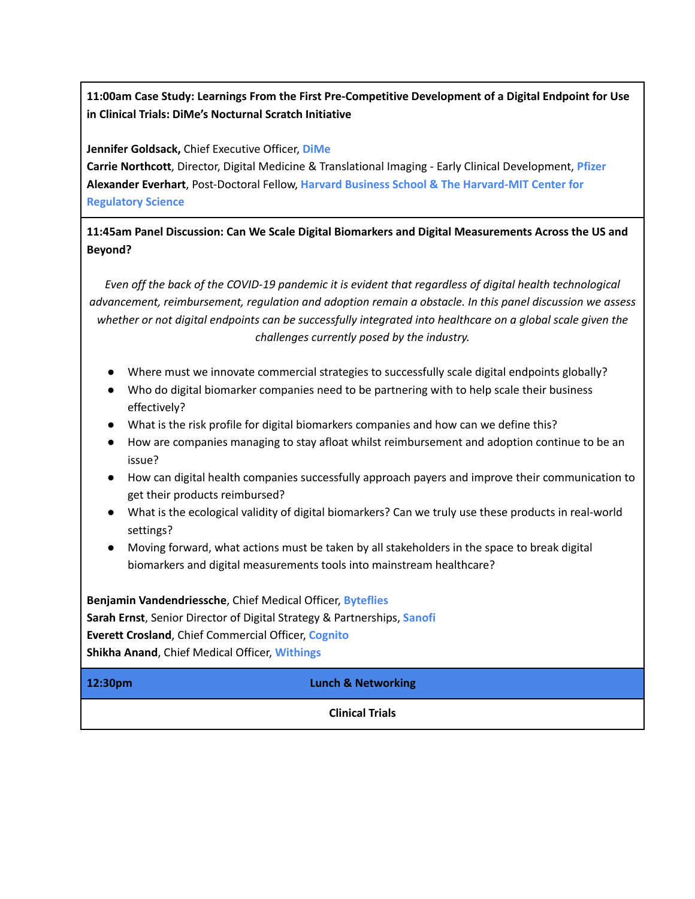## **11:00am Case Study: Learnings From the First Pre-Competitive Development of a Digital Endpoint for Use in Clinical Trials: DiMe's Nocturnal Scratch Initiative**

**Jennifer Goldsack,** Chief Executive Officer, **DiMe**

**Carrie Northcott**, Director, Digital Medicine & Translational Imaging - Early Clinical Development, **Pfizer Alexander Everhart**, Post-Doctoral Fellow, **Harvard Business School & The Harvard-MIT Center for Regulatory Science**

### **11:45am Panel Discussion: Can We Scale Digital Biomarkers and Digital Measurements Across the US and Beyond?**

*Even off the back of the COVID-19 pandemic it is evident that regardless of digital health technological advancement, reimbursement, regulation and adoption remain a obstacle. In this panel discussion we assess* whether or not digital endpoints can be successfully integrated into healthcare on a global scale given the *challenges currently posed by the industry.*

- Where must we innovate commercial strategies to successfully scale digital endpoints globally?
- Who do digital biomarker companies need to be partnering with to help scale their business effectively?
- What is the risk profile for digital biomarkers companies and how can we define this?
- How are companies managing to stay afloat whilst reimbursement and adoption continue to be an issue?
- How can digital health companies successfully approach payers and improve their communication to get their products reimbursed?
- What is the ecological validity of digital biomarkers? Can we truly use these products in real-world settings?
- Moving forward, what actions must be taken by all stakeholders in the space to break digital biomarkers and digital measurements tools into mainstream healthcare?

**Benjamin Vandendriessche**, Chief Medical Officer, **Byteflies Sarah Ernst**, Senior Director of Digital Strategy & Partnerships, **Sanofi Everett Crosland**, Chief Commercial Officer, **Cognito Shikha Anand**, Chief Medical Officer, **Withings**

**12:30pm Lunch & Networking**

**Clinical Trials**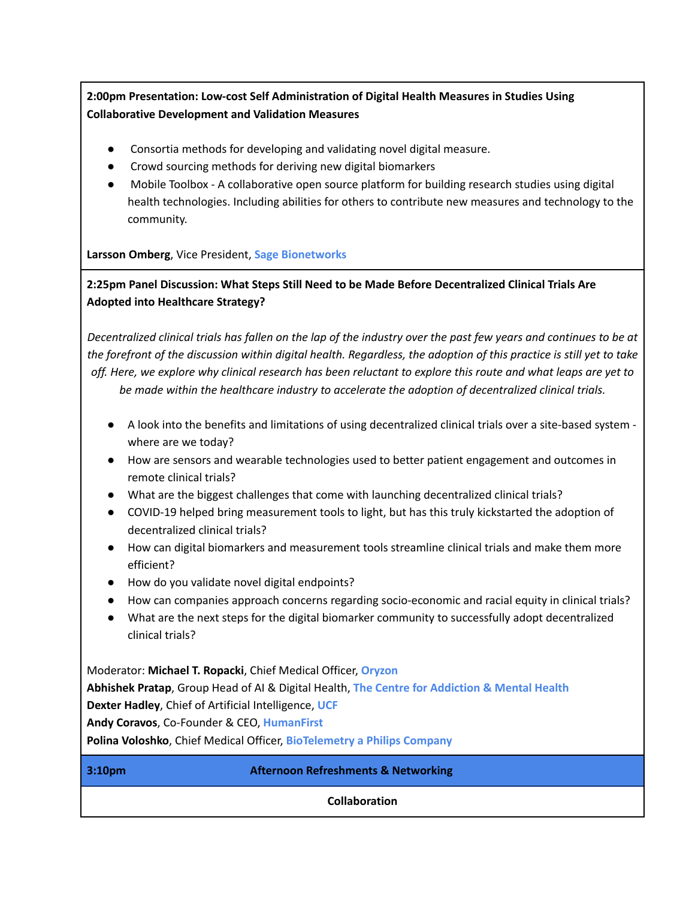## **2:00pm Presentation: Low-cost Self Administration of Digital Health Measures in Studies Using Collaborative Development and Validation Measures**

- Consortia methods for developing and validating novel digital measure.
- Crowd sourcing methods for deriving new digital biomarkers
- Mobile Toolbox A collaborative open source platform for building research studies using digital health technologies. Including abilities for others to contribute new measures and technology to the community.

#### **Larsson Omberg**, Vice President, **Sage Bionetworks**

**2:25pm Panel Discussion: What Steps Still Need to be Made Before Decentralized Clinical Trials Are Adopted into Healthcare Strategy?**

Decentralized clinical trials has fallen on the lap of the industry over the past few years and continues to be at the forefront of the discussion within digital health. Regardless, the adoption of this practice is still yet to take off. Here, we explore why clinical research has been reluctant to explore this route and what leaps are yet to *be made within the healthcare industry to accelerate the adoption of decentralized clinical trials.*

- A look into the benefits and limitations of using decentralized clinical trials over a site-based system where are we today?
- How are sensors and wearable technologies used to better patient engagement and outcomes in remote clinical trials?
- What are the biggest challenges that come with launching decentralized clinical trials?
- COVID-19 helped bring measurement tools to light, but has this truly kickstarted the adoption of decentralized clinical trials?
- How can digital biomarkers and measurement tools streamline clinical trials and make them more efficient?
- How do you validate novel digital endpoints?
- How can companies approach concerns regarding socio-economic and racial equity in clinical trials?
- What are the next steps for the digital biomarker community to successfully adopt decentralized clinical trials?

Moderator: **Michael T. Ropacki**, Chief Medical Officer, **Oryzon Abhishek Pratap**, Group Head of AI & Digital Health, **The Centre for Addiction & Mental Health Dexter Hadley**, Chief of Artificial Intelligence, **UCF Andy Coravos**, Co-Founder & CEO, **HumanFirst Polina Voloshko**, Chief Medical Officer, **BioTelemetry a Philips Company**

**3:10pm Afternoon Refreshments & Networking**

**Collaboration**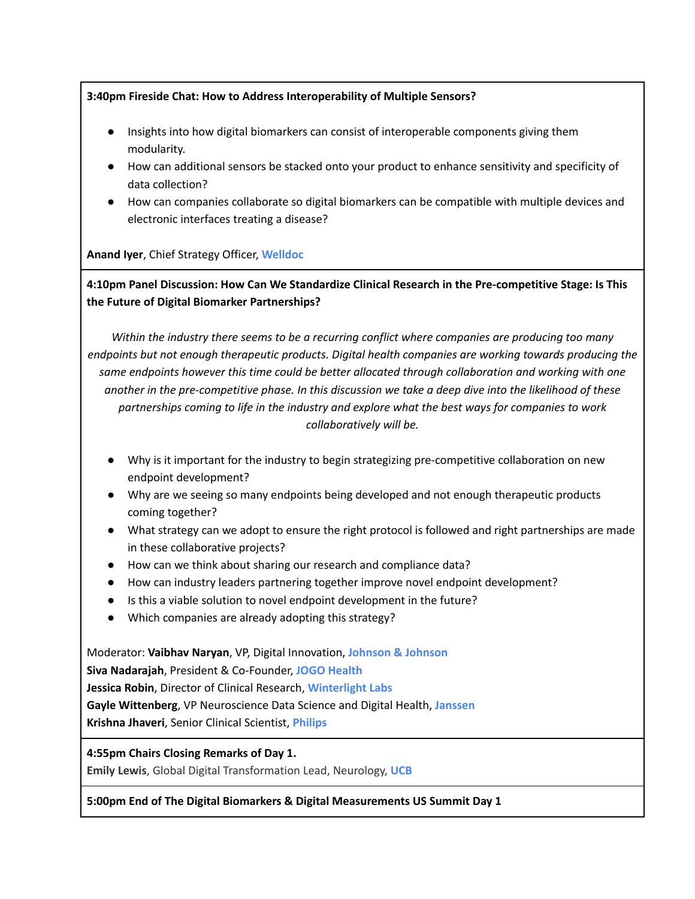#### **3:40pm Fireside Chat: How to Address Interoperability of Multiple Sensors?**

- **●** Insights into how digital biomarkers can consist of interoperable components giving them modularity.
- How can additional sensors be stacked onto your product to enhance sensitivity and specificity of data collection?
- **●** How can companies collaborate so digital biomarkers can be compatible with multiple devices and electronic interfaces treating a disease?

**Anand Iyer**, Chief Strategy Officer, **Welldoc**

**4:10pm Panel Discussion: How Can We Standardize Clinical Research in the Pre-competitive Stage: Is This the Future of Digital Biomarker Partnerships?**

*Within the industry there seems to be a recurring conflict where companies are producing too many endpoints but not enough therapeutic products. Digital health companies are working towards producing the same endpoints however this time could be better allocated through collaboration and working with one* another in the pre-competitive phase. In this discussion we take a deep dive into the likelihood of these *partnerships coming to life in the industry and explore what the best ways for companies to work collaboratively will be.*

- Why is it important for the industry to begin strategizing pre-competitive collaboration on new endpoint development?
- Why are we seeing so many endpoints being developed and not enough therapeutic products coming together?
- What strategy can we adopt to ensure the right protocol is followed and right partnerships are made in these collaborative projects?
- How can we think about sharing our research and compliance data?
- How can industry leaders partnering together improve novel endpoint development?
- Is this a viable solution to novel endpoint development in the future?
- Which companies are already adopting this strategy?

Moderator: **Vaibhav Naryan**, VP, Digital Innovation, **Johnson & Johnson Siva Nadarajah**, President & Co-Founder, **JOGO Health Jessica Robin**, Director of Clinical Research, **Winterlight Labs Gayle Wittenberg**, VP Neuroscience Data Science and Digital Health, **Janssen Krishna Jhaveri**, Senior Clinical Scientist, **Philips**

**4:55pm Chairs Closing Remarks of Day 1.**

**Emily Lewis**, Global Digital Transformation Lead, Neurology, **UCB**

#### **5:00pm End of The Digital Biomarkers & Digital Measurements US Summit Day 1**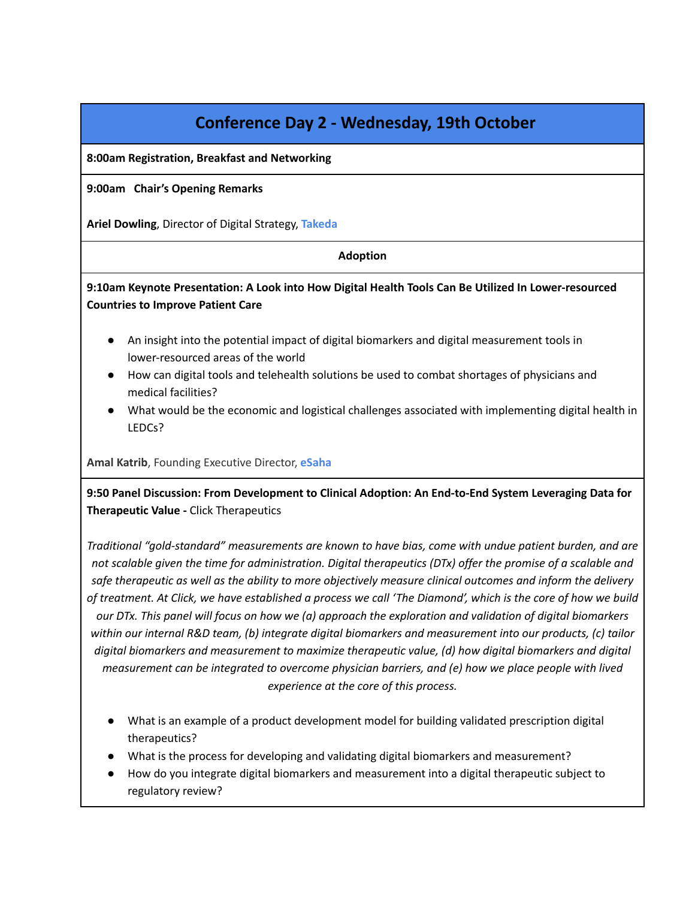# **Conference Day 2 - Wednesday, 19th October**

**8:00am Registration, Breakfast and Networking**

**9:00am Chair's Opening Remarks**

**Ariel Dowling**, Director of Digital Strategy, **Takeda**

#### **Adoption**

#### **9:10am Keynote Presentation: A Look into How Digital Health Tools Can Be Utilized In Lower-resourced Countries to Improve Patient Care**

- An insight into the potential impact of digital biomarkers and digital measurement tools in lower-resourced areas of the world
- How can digital tools and telehealth solutions be used to combat shortages of physicians and medical facilities?
- What would be the economic and logistical challenges associated with implementing digital health in LEDCs?

**Amal Katrib**, Founding Executive Director, **eSaha**

**9:50 Panel Discussion: From Development to Clinical Adoption: An End-to-End System Leveraging Data for Therapeutic Value -** Click Therapeutics

*Traditional "gold-standard" measurements are known to have bias, come with undue patient burden, and are* not scalable given the time for administration. Digital therapeutics (DTx) offer the promise of a scalable and safe therapeutic as well as the ability to more objectively measure clinical outcomes and inform the delivery of treatment. At Click, we have established a process we call 'The Diamond', which is the core of how we build our DTx. This panel will focus on how we (a) approach the exploration and validation of digital biomarkers *within our internal R&D team, (b) integrate digital biomarkers and measurement into our products, (c) tailor digital biomarkers and measurement to maximize therapeutic value, (d) how digital biomarkers and digital measurement can be integrated to overcome physician barriers, and (e) how we place people with lived experience at the core of this process.*

- What is an example of a product development model for building validated prescription digital therapeutics?
- What is the process for developing and validating digital biomarkers and measurement?
- How do you integrate digital biomarkers and measurement into a digital therapeutic subject to regulatory review?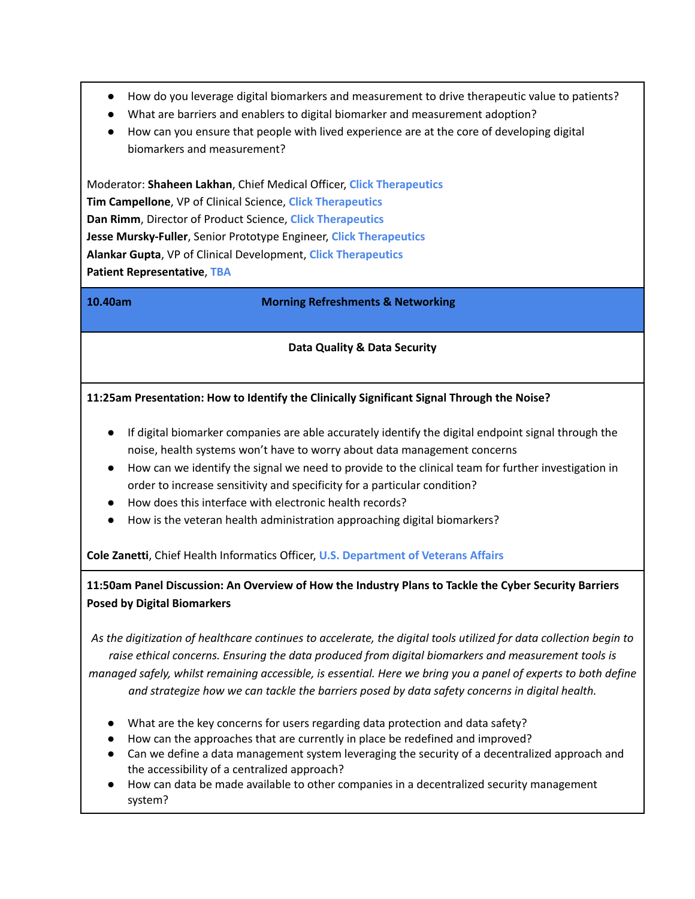- How do you leverage digital biomarkers and measurement to drive therapeutic value to patients?
- What are barriers and enablers to digital biomarker and measurement adoption?
- How can you ensure that people with lived experience are at the core of developing digital biomarkers and measurement?

Moderator: **Shaheen Lakhan**, Chief Medical Officer, **Click Therapeutics Tim Campellone**, VP of Clinical Science, **Click Therapeutics Dan Rimm**, Director of Product Science, **Click Therapeutics Jesse Mursky-Fuller**, Senior Prototype Engineer, **Click Therapeutics Alankar Gupta**, VP of Clinical Development, **Click Therapeutics Patient Representative**, **TBA**

**10.40am Morning Refreshments & Networking**

#### **Data Quality & Data Security**

#### **11:25am Presentation: How to Identify the Clinically Significant Signal Through the Noise?**

- If digital biomarker companies are able accurately identify the digital endpoint signal through the noise, health systems won't have to worry about data management concerns
- How can we identify the signal we need to provide to the clinical team for further investigation in order to increase sensitivity and specificity for a particular condition?
- How does this interface with electronic health records?
- How is the veteran health administration approaching digital biomarkers?

**Cole Zanetti**, Chief Health Informatics Officer, **U.S. Department of Veterans Affairs**

#### **11:50am Panel Discussion: An Overview of How the Industry Plans to Tackle the Cyber Security Barriers Posed by Digital Biomarkers**

As the digitization of healthcare continues to accelerate, the digital tools utilized for data collection begin to *raise ethical concerns. Ensuring the data produced from digital biomarkers and measurement tools is* managed safely, whilst remaining accessible, is essential. Here we bring you a panel of experts to both define *and strategize how we can tackle the barriers posed by data safety concerns in digital health.*

- What are the key concerns for users regarding data protection and data safety?
- How can the approaches that are currently in place be redefined and improved?
- Can we define a data management system leveraging the security of a decentralized approach and the accessibility of a centralized approach?
- How can data be made available to other companies in a decentralized security management system?